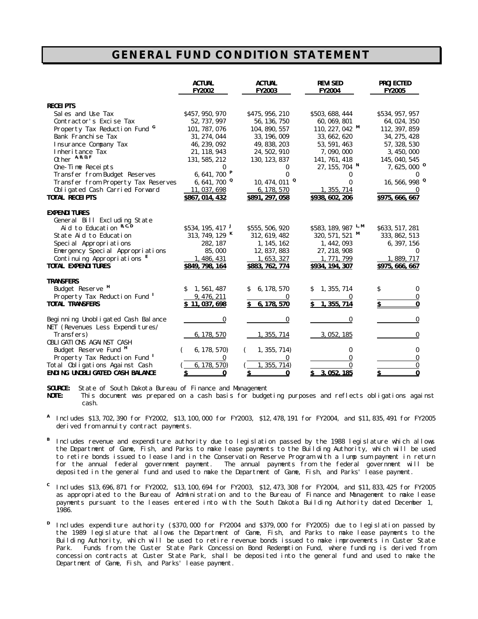## **GENERAL FUND CONDITION STATEMENT**

|                                          | <b>ACTUAL</b><br><b>FY2002</b> | <b>ACTUAL</b><br><b>FY2003</b> | <b>REVISED</b><br><b>FY2004</b> | <b>PROJECTED</b><br><b>FY2005</b> |
|------------------------------------------|--------------------------------|--------------------------------|---------------------------------|-----------------------------------|
| <b>RECEIPTS</b>                          |                                |                                |                                 |                                   |
| Sales and Use Tax                        | \$457, 950, 970                | \$475, 956, 210                | \$503, 688, 444                 | \$534, 957, 957                   |
| Contractor's Excise Tax                  | 52, 737, 997                   | 56, 136, 750                   | 60, 069, 801                    | 64, 024, 350                      |
| Property Tax Reduction Fund              | 101, 787, 076                  | 104, 890, 557                  | 110, 227, 042 $M$               | 112, 397, 859                     |
| Bank Franchise Tax                       | 31, 274, 044                   | 33, 196, 009                   | 33, 662, 620                    | 34, 275, 428                      |
| Insurance Company Tax                    | 46, 239, 092                   | 49, 838, 203                   | 53, 591, 463                    | 57, 328, 530                      |
| Inheritance Tax                          | 21, 118, 943                   | 24, 502, 910                   | 7,090,000                       | 3, 450, 000                       |
| Other A, B, D, F                         | 131, 585, 212                  | 130, 123, 837                  | 141, 761, 418                   | 145, 040, 545                     |
| One-Time Receipts                        |                                | 0                              | $27, 155, 704$ N                | $7,625,000$ <sup>0</sup>          |
| Transfer from Budget Reserves            | 6, 641, 700 $P$                | 0                              |                                 |                                   |
| Transfer from Property Tax Reserves      | 6, 641, 700 $^{\circ}$         | $10, 474, 011$ <sup>Q</sup>    | 0                               | $16, 566, 998$ <sup>9</sup>       |
| Obligated Cash Carried Forward           | 11,037,698                     | 6, 178, 570                    | 1, 355, 714                     |                                   |
| <b>TOTAL RECEIPTS</b>                    | \$867, 014, 432                | \$891, 297, 058                | \$938, 602, 206                 | \$975, 666, 667                   |
| <b>EXPENDITURES</b>                      |                                |                                |                                 |                                   |
| General Bill Excluding State             |                                |                                |                                 |                                   |
| Aid to Education B.C.D                   | \$534, 195, 417                | \$555,506,920                  | \$583, 189, 987 L.M             | \$633, 517, 281                   |
| State Aid to Education                   | 313, 749, 129 K                | 312, 619, 482                  | 320, 571, 521 M                 | 333, 862, 513                     |
| Special Appropriations                   | 282, 187                       | 1, 145, 162                    | 1, 442, 093                     | 6, 397, 156                       |
| Emergency Special Appropriations         | 85,000                         | 12, 837, 883                   | 27, 218, 908                    | $\bf{0}$                          |
| Continuing Appropriations <sup>E</sup>   | 1, 486, 431                    | 1, 653, 327                    | 1, 771, 799                     | 1,889,717                         |
| <b>TOTAL EXPENDITURES</b>                | \$849, 798, 164                | \$883, 762, 774                | \$934, 194, 307                 | \$975, 666, 667                   |
| <b>TRANSFERS</b>                         |                                |                                |                                 |                                   |
| Budget Reserve <sup>H</sup>              | 1, 561, 487                    | 6, 178, 570<br>S               | 1, 355, 714                     | Ŝ.<br>$\bf{0}$                    |
| Property Tax Reduction Fund <sup>1</sup> | 9, 476, 211                    | $\bf{0}$                       | 0                               | $\bf{0}$                          |
| <b>TOTAL TRANSFERS</b>                   | \$11,037,698                   | 6, 178, 570<br>S.              | \$1, 355, 714                   |                                   |
| Beginning Unobligated Cash Balance       | 0                              | $\bf{0}$                       | 0                               | $\bf{0}$                          |
| NET (Revenues Less Expenditures/         |                                |                                |                                 |                                   |
| Transfers)                               | 6, 178, 570                    | 1, 355, 714                    | 3, 052, 185                     | $\bf{0}$                          |
| OBLIGATIONS AGAINST CASH                 |                                |                                |                                 |                                   |
| Budget Reserve Fund <sup>H</sup>         | 6, 178, 570)                   | 1, 355, 714)                   | 0                               | $\bf{0}$                          |
| Property Tax Reduction Fund <sup>I</sup> | 0                              | $\bf{0}$                       | 0                               | $\bf{0}$                          |
| Total Obligations Against Cash           | 6, 178, 570                    | 1, 355, 714)                   | $\bf{0}$                        | $\bf{0}$                          |
| <b>ENDING UNOBLIGATED CASH BALANCE</b>   | 0<br>S                         | S<br>0                         | 3.052.185                       | 0                                 |

**SOURCE:** State of South Dakota Bureau of Finance and Management<br>**NOTE:** This document was prepared on a cash basis for budge

This document was prepared on a cash basis for budgeting purposes and reflects obligations against cash.

- **A** Includes \$13,702,390 for FY2002, \$13,100,000 for FY2003, \$12,478,191 for FY2004, and \$11,835,491 for FY2005 derived from annuity contract payments.
- **B** Includes revenue and expenditure authority due to legislation passed by the 1988 legislature which allows the Department of Game, Fish, and Parks to make lease payments to the Building Authority, which will be used to retire bonds issued to lease land in the Conservation Reserve Program with a lump sum payment in return for the annual federal government payment. The annual payments from the federal government will be deposited in the general fund and used to make the Department of Game, Fish, and Parks' lease payment.
- **C** Includes \$13,696,871 for FY2002, \$13,100,694 for FY2003, \$12,473,308 for FY2004, and \$11,833,425 for FY2005 as appropriated to the Bureau of Administration and to the Bureau of Finance and Management to make lease payments pursuant to the leases entered into with the South Dakota Building Authority dated December 1, 1986.
- **D** Includes expenditure authority (\$370,000 for FY2004 and \$379,000 for FY2005) due to legislation passed by the 1989 legislature that allows the Department of Game, Fish, and Parks to make lease payments to the Building Authority, which will be used to retire revenue bonds issued to make improvements in Custer State Park. Funds from the Custer State Park Concession Bond Redemption Fund, where funding is derived from concession contracts at Custer State Park, shall be deposited into the general fund and used to make the Department of Game, Fish, and Parks' lease payment.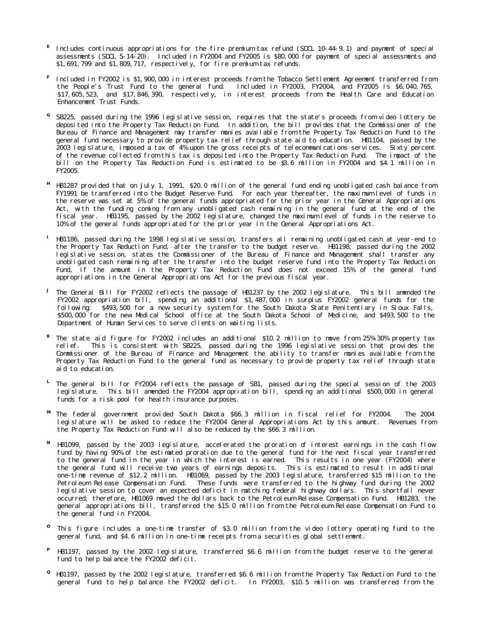- **E** Includes continuous appropriations for the fire premium tax refund (SDCL 10-44-9.1) and payment of special assessments (SDCL 5-14-20). Included in FY2004 and FY2005 is \$80,000 for payment of special assessments and \$1,691,799 and \$1,809,717, respectively, for fire premium tax refunds.
- **F** Included in FY2002 is \$1,900,000 in interest proceeds from the Tobacco Settlement Agreement transferred from the People's Trust Fund to the general fund. Included in FY2003, FY2004, and FY2005 is \$6,040,765, \$17,605,523, and \$17,846,390, respectively, in interest proceeds from the Health Care and Education Enhancement Trust Funds.
- **G** SB225, passed during the 1996 legislative session, requires that the state's proceeds from video lottery be deposited into the Property Tax Reduction Fund. In addition, the bill provides that the Commissioner of the Bureau of Finance and Management may transfer monies available from the Property Tax Reduction Fund to the general fund necessary to provide property tax relief through state aid to education. HB1104, passed by the 2003 legislature, imposed a tax of 4% upon the gross receipts of telecommunications services. Sixty percent of the revenue collected from this tax is deposited into the Property Tax Reduction Fund. The impact of the bill on the Property Tax Reduction Fund is estimated to be \$3.6 million in FY2004 and \$4.1 million in FY2005.
- **H** HB1287 provided that on July 1, 1991, \$20.0 million of the general fund ending unobligated cash balance from FY1991 be transferred into the Budget Reserve Fund. For each year thereafter, the maximum level of funds in the reserve was set at 5% of the general funds appropriated for the prior year in the General Appropriations Act, with the funding coming from any unobligated cash remaining in the general fund at the end of the fiscal year. HB1195, passed by the 2002 legislature, changed the maximum level of funds in the reserve to 10% of the general funds appropriated for the prior year in the General Appropriations Act.
- **I** HB1186, passed during the 1998 legislative session, transfers all remaining unobligated cash at year-end to the Property Tax Reduction Fund, after the transfer to the budget reserve. HB1198, passed during the 2002 legislative session, states the Commissioner of the Bureau of Finance and Management shall transfer any unobligated cash remaining after the transfer into the budget reserve fund into the Property Tax Reduction Fund, if the amount in the Property Tax Reduction Fund does not exceed 15% of the general fund appropriations in the General Appropriations Act for the previous fiscal year.
- **J** The General Bill for FY2002 reflects the passage of HB1237 by the 2002 legislature. This bill amended the FY2002 appropriation bill, spending an additional \$1,487,000 in surplus FY2002 general funds for the following: \$493,500 for a new security system for the South Dakota State Penitentiary in Sioux Falls, \$500,000 for the new Medical School office at the South Dakota School of Medicine, and \$493,500 to the Department of Human Services to serve clients on waiting lists.
- **K** The state aid figure for FY2002 includes an additional \$10.2 million to move from 25%-30% property tax relief. This is consistent with SB225, passed during the 1996 legislative session that provides the Commissioner of the Bureau of Finance and Management the ability to transfer monies available from the Property Tax Reduction Fund to the general fund as necessary to provide property tax relief through state aid to education.
- **L** The general bill for FY2004 reflects the passage of SB1, passed during the special session of the 2003 legislature. This bill amended the FY2004 appropriation bill, spending an additional \$500,000 in general funds for a risk pool for health insurance purposes.
- **M** The federal government provided South Dakota \$66.3 million in fiscal relief for FY2004. The 2004 legislature will be asked to reduce the FY2004 General Appropriations Act by this amount. Revenues from the Property Tax Reduction Fund will also be reduced by the \$66.3 million.
- **N** HB1099, passed by the 2003 legislature, accelerated the proration of interest earnings in the cash flow fund by having 90% of the estimated proration due to the general fund for the next fiscal year transferred to the general fund in the year in which the interest is earned. This results in one year (FY2004) where the general fund will receive two years of earnings deposits. This is estimated to result in additional one-time revenue of \$12.2 million. HB1069, passed by the 2003 legislature, transferred \$15 million to the Petroleum Release Compensation Fund. These funds were transferred to the highway fund during the 2002 legislative session to cover an expected deficit in matching federal highway dollars. This shortfall never occurred; therefore, HB1069 moved the dollars back to the Petroleum Release Compensation Fund. HB1283, the general appropriations bill, transferred the \$15.0 million from the Petroleum Release Compensation Fund to the general fund in FY2004.
- **O** This figure includes a one-time transfer of \$3.0 million from the video lottery operating fund to the general fund, and \$4.6 million in one-time receipts from a securities global settlement.
- **P** HB1197, passed by the 2002 legislature, transferred \$6.6 million from the budget reserve to the general fund to help balance the FY2002 deficit.
- **Q** HB1197, passed by the 2002 legislature, transferred \$6.6 million from the Property Tax Reduction Fund to the general fund to help balance the FY2002 deficit. In FY2003, \$10.5 million was transferred from the